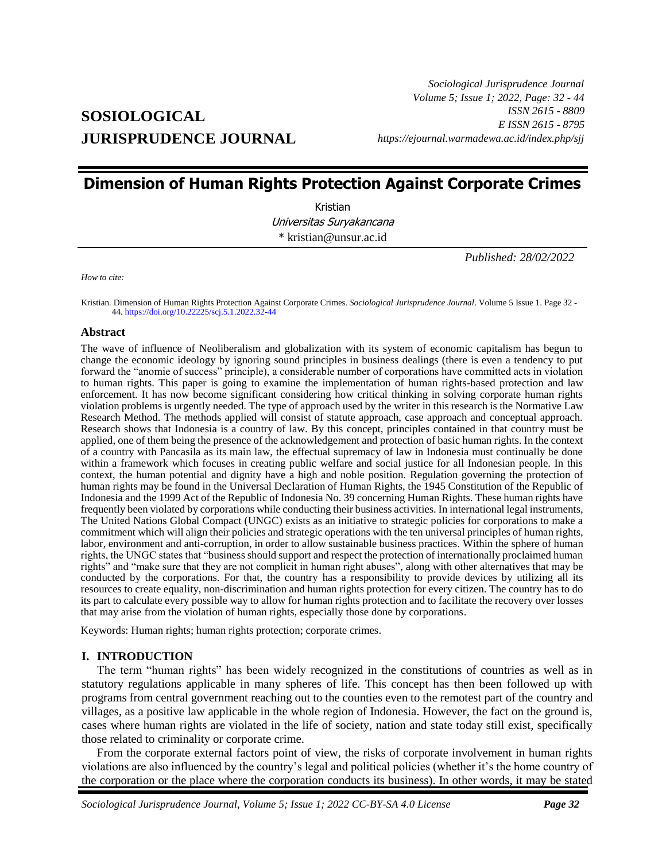# **SOSIOLOGICAL JURISPRUDENCE JOURNAL**

*Sociological Jurisprudence Journal Volume 5; Issue 1; 2022, Page: 32 - 44 ISSN 2615 - 8809 E ISSN 2615 - 8795 https://ejournal.warmadewa.ac.id/index.php/sjj*

## **Dimension of Human Rights Protection Against Corporate Crimes**

Kristian Universitas Suryakancana \* kristian@unsur.ac.id

*Published: 28/02/2022*

*How to cite:*

Kristian*.* Dimension of Human Rights Protection Against Corporate Crimes. *Sociological Jurisprudence Journal*. Volume 5 Issue 1. Page 32 - 44.<https://doi.org/10.22225/scj.5.1.2022.32-44>

## **Abstract**

The wave of influence of Neoliberalism and globalization with its system of economic capitalism has begun to change the economic ideology by ignoring sound principles in business dealings (there is even a tendency to put forward the "anomie of success" principle), a considerable number of corporations have committed acts in violation to human rights. This paper is going to examine the implementation of human rights-based protection and law enforcement. It has now become significant considering how critical thinking in solving corporate human rights violation problems is urgently needed. The type of approach used by the writer in this research is the Normative Law Research Method. The methods applied will consist of statute approach, case approach and conceptual approach. Research shows that Indonesia is a country of law. By this concept, principles contained in that country must be applied, one of them being the presence of the acknowledgement and protection of basic human rights. In the context of a country with Pancasila as its main law, the effectual supremacy of law in Indonesia must continually be done within a framework which focuses in creating public welfare and social justice for all Indonesian people. In this context, the human potential and dignity have a high and noble position. Regulation governing the protection of human rights may be found in the Universal Declaration of Human Rights, the 1945 Constitution of the Republic of Indonesia and the 1999 Act of the Republic of Indonesia No. 39 concerning Human Rights. These human rights have frequently been violated by corporations while conducting their business activities. In international legal instruments, The United Nations Global Compact (UNGC) exists as an initiative to strategic policies for corporations to make a commitment which will align their policies and strategic operations with the ten universal principles of human rights, labor, environment and anti-corruption, in order to allow sustainable business practices. Within the sphere of human rights, the UNGC states that "business should support and respect the protection of internationally proclaimed human rights" and "make sure that they are not complicit in human right abuses", along with other alternatives that may be conducted by the corporations. For that, the country has a responsibility to provide devices by utilizing all its resources to create equality, non-discrimination and human rights protection for every citizen. The country has to do its part to calculate every possible way to allow for human rights protection and to facilitate the recovery over losses that may arise from the violation of human rights, especially those done by corporations.

Keywords: Human rights; human rights protection; corporate crimes.

## **I. INTRODUCTION**

The term "human rights" has been widely recognized in the constitutions of countries as well as in statutory regulations applicable in many spheres of life. This concept has then been followed up with programs from central government reaching out to the counties even to the remotest part of the country and villages, as a positive law applicable in the whole region of Indonesia. However, the fact on the ground is, cases where human rights are violated in the life of society, nation and state today still exist, specifically those related to criminality or corporate crime.

From the corporate external factors point of view, the risks of corporate involvement in human rights violations are also influenced by the country's legal and political policies (whether it's the home country of the corporation or the place where the corporation conducts its business). In other words, it may be stated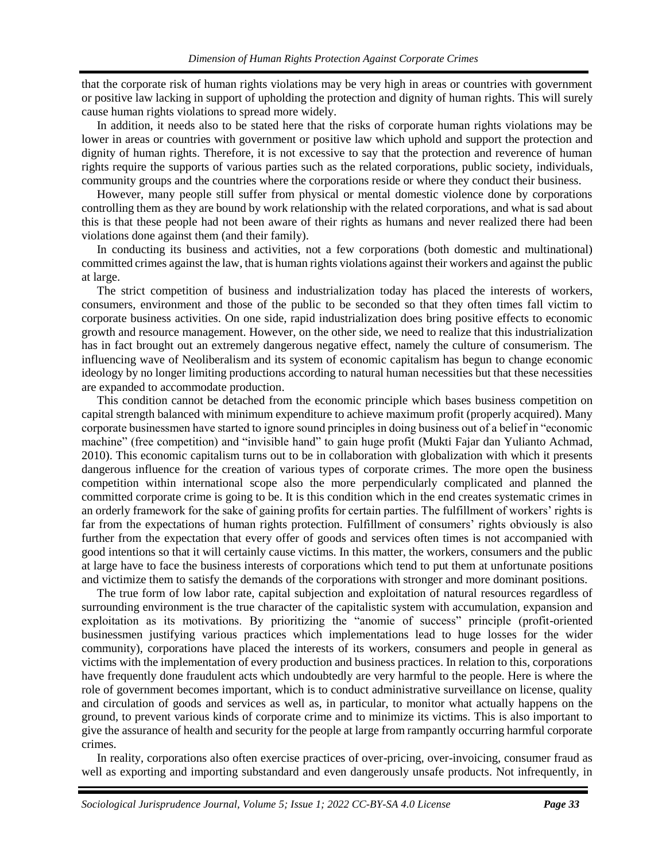that the corporate risk of human rights violations may be very high in areas or countries with government or positive law lacking in support of upholding the protection and dignity of human rights. This will surely cause human rights violations to spread more widely.

In addition, it needs also to be stated here that the risks of corporate human rights violations may be lower in areas or countries with government or positive law which uphold and support the protection and dignity of human rights. Therefore, it is not excessive to say that the protection and reverence of human rights require the supports of various parties such as the related corporations, public society, individuals, community groups and the countries where the corporations reside or where they conduct their business.

However, many people still suffer from physical or mental domestic violence done by corporations controlling them as they are bound by work relationship with the related corporations, and what is sad about this is that these people had not been aware of their rights as humans and never realized there had been violations done against them (and their family).

In conducting its business and activities, not a few corporations (both domestic and multinational) committed crimes against the law, that is human rights violations against their workers and against the public at large.

The strict competition of business and industrialization today has placed the interests of workers, consumers, environment and those of the public to be seconded so that they often times fall victim to corporate business activities. On one side, rapid industrialization does bring positive effects to economic growth and resource management. However, on the other side, we need to realize that this industrialization has in fact brought out an extremely dangerous negative effect, namely the culture of consumerism. The influencing wave of Neoliberalism and its system of economic capitalism has begun to change economic ideology by no longer limiting productions according to natural human necessities but that these necessities are expanded to accommodate production.

This condition cannot be detached from the economic principle which bases business competition on capital strength balanced with minimum expenditure to achieve maximum profit (properly acquired). Many corporate businessmen have started to ignore sound principles in doing business out of a belief in "economic machine" (free competition) and "invisible hand" to gain huge profit (Mukti Fajar dan Yulianto Achmad, 2010). This economic capitalism turns out to be in collaboration with globalization with which it presents dangerous influence for the creation of various types of corporate crimes. The more open the business competition within international scope also the more perpendicularly complicated and planned the committed corporate crime is going to be. It is this condition which in the end creates systematic crimes in an orderly framework for the sake of gaining profits for certain parties. The fulfillment of workers' rights is far from the expectations of human rights protection. Fulfillment of consumers' rights obviously is also further from the expectation that every offer of goods and services often times is not accompanied with good intentions so that it will certainly cause victims. In this matter, the workers, consumers and the public at large have to face the business interests of corporations which tend to put them at unfortunate positions and victimize them to satisfy the demands of the corporations with stronger and more dominant positions.

The true form of low labor rate, capital subjection and exploitation of natural resources regardless of surrounding environment is the true character of the capitalistic system with accumulation, expansion and exploitation as its motivations. By prioritizing the "anomie of success" principle (profit-oriented businessmen justifying various practices which implementations lead to huge losses for the wider community), corporations have placed the interests of its workers, consumers and people in general as victims with the implementation of every production and business practices. In relation to this, corporations have frequently done fraudulent acts which undoubtedly are very harmful to the people. Here is where the role of government becomes important, which is to conduct administrative surveillance on license, quality and circulation of goods and services as well as, in particular, to monitor what actually happens on the ground, to prevent various kinds of corporate crime and to minimize its victims. This is also important to give the assurance of health and security for the people at large from rampantly occurring harmful corporate crimes.

In reality, corporations also often exercise practices of over-pricing, over-invoicing, consumer fraud as well as exporting and importing substandard and even dangerously unsafe products. Not infrequently, in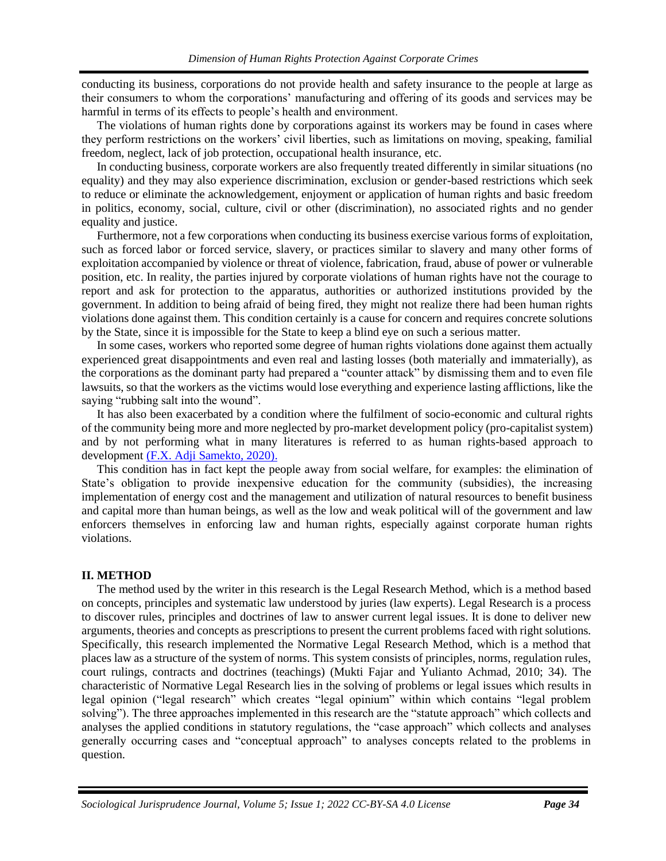conducting its business, corporations do not provide health and safety insurance to the people at large as their consumers to whom the corporations' manufacturing and offering of its goods and services may be harmful in terms of its effects to people's health and environment.

The violations of human rights done by corporations against its workers may be found in cases where they perform restrictions on the workers' civil liberties, such as limitations on moving, speaking, familial freedom, neglect, lack of job protection, occupational health insurance, etc.

In conducting business, corporate workers are also frequently treated differently in similar situations (no equality) and they may also experience discrimination, exclusion or gender-based restrictions which seek to reduce or eliminate the acknowledgement, enjoyment or application of human rights and basic freedom in politics, economy, social, culture, civil or other (discrimination), no associated rights and no gender equality and justice.

Furthermore, not a few corporations when conducting its business exercise various forms of exploitation, such as forced labor or forced service, slavery, or practices similar to slavery and many other forms of exploitation accompanied by violence or threat of violence, fabrication, fraud, abuse of power or vulnerable position, etc. In reality, the parties injured by corporate violations of human rights have not the courage to report and ask for protection to the apparatus, authorities or authorized institutions provided by the government. In addition to being afraid of being fired, they might not realize there had been human rights violations done against them. This condition certainly is a cause for concern and requires concrete solutions by the State, since it is impossible for the State to keep a blind eye on such a serious matter.

In some cases, workers who reported some degree of human rights violations done against them actually experienced great disappointments and even real and lasting losses (both materially and immaterially), as the corporations as the dominant party had prepared a "counter attack" by dismissing them and to even file lawsuits, so that the workers as the victims would lose everything and experience lasting afflictions, like the saying "rubbing salt into the wound".

It has also been exacerbated by a condition where the fulfilment of socio-economic and cultural rights of the community being more and more neglected by pro-market development policy (pro-capitalist system) and by not performing what in many literatures is referred to as human rights-based approach to development [\(F.X. Adji Samekto, 2020\).](#page-12-0)

This condition has in fact kept the people away from social welfare, for examples: the elimination of State's obligation to provide inexpensive education for the community (subsidies), the increasing implementation of energy cost and the management and utilization of natural resources to benefit business and capital more than human beings, as well as the low and weak political will of the government and law enforcers themselves in enforcing law and human rights, especially against corporate human rights violations.

## **II. METHOD**

The method used by the writer in this research is the Legal Research Method, which is a method based on concepts, principles and systematic law understood by juries (law experts). Legal Research is a process to discover rules, principles and doctrines of law to answer current legal issues. It is done to deliver new arguments, theories and concepts as prescriptions to present the current problems faced with right solutions. Specifically, this research implemented the Normative Legal Research Method, which is a method that places law as a structure of the system of norms. This system consists of principles, norms, regulation rules, court rulings, contracts and doctrines (teachings) (Mukti Fajar and Yulianto Achmad, 2010; 34). The characteristic of Normative Legal Research lies in the solving of problems or legal issues which results in legal opinion ("legal research" which creates "legal opinium" within which contains "legal problem solving"). The three approaches implemented in this research are the "statute approach" which collects and analyses the applied conditions in statutory regulations, the "case approach" which collects and analyses generally occurring cases and "conceptual approach" to analyses concepts related to the problems in question.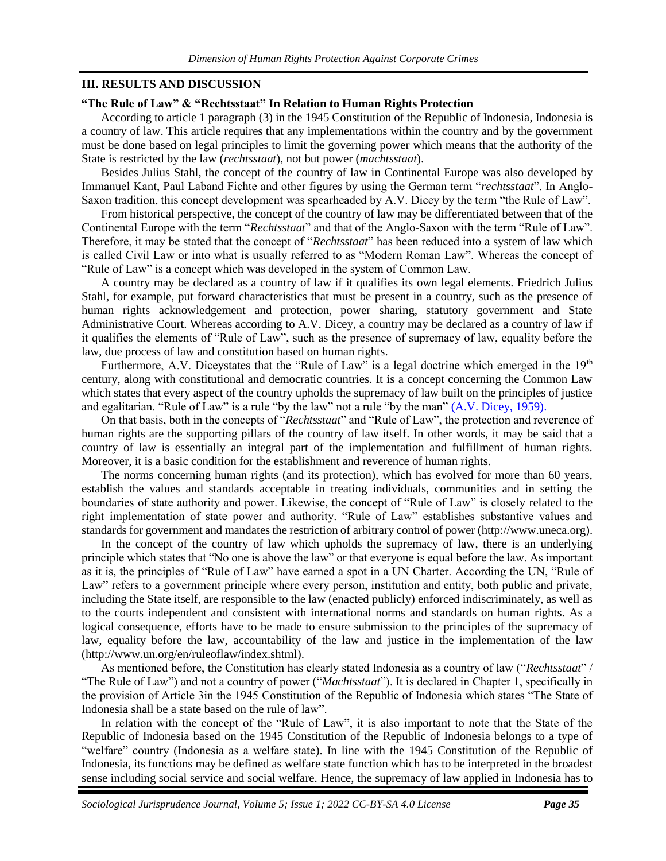## **III. RESULTS AND DISCUSSION**

#### **"The Rule of Law" & "Rechtsstaat" In Relation to Human Rights Protection**

According to article 1 paragraph (3) in the 1945 Constitution of the Republic of Indonesia, Indonesia is a country of law. This article requires that any implementations within the country and by the government must be done based on legal principles to limit the governing power which means that the authority of the State is restricted by the law (*rechtsstaat*), not but power (*machtsstaat*).

Besides Julius Stahl, the concept of the country of law in Continental Europe was also developed by Immanuel Kant, Paul Laband Fichte and other figures by using the German term "*rechtsstaat*". In Anglo-Saxon tradition, this concept development was spearheaded by A.V. Dicey by the term "the Rule of Law".

From historical perspective, the concept of the country of law may be differentiated between that of the Continental Europe with the term "*Rechtsstaat*" and that of the Anglo-Saxon with the term "Rule of Law". Therefore, it may be stated that the concept of "*Rechtsstaat*" has been reduced into a system of law which is called Civil Law or into what is usually referred to as "Modern Roman Law". Whereas the concept of "Rule of Law" is a concept which was developed in the system of Common Law.

A country may be declared as a country of law if it qualifies its own legal elements. Friedrich Julius Stahl, for example, put forward characteristics that must be present in a country, such as the presence of human rights acknowledgement and protection, power sharing, statutory government and State Administrative Court. Whereas according to A.V. Dicey, a country may be declared as a country of law if it qualifies the elements of "Rule of Law", such as the presence of supremacy of law, equality before the law, due process of law and constitution based on human rights.

Furthermore, A.V. Diceystates that the "Rule of Law" is a legal doctrine which emerged in the 19<sup>th</sup> century, along with constitutional and democratic countries. It is a concept concerning the Common Law which states that every aspect of the country upholds the supremacy of law built on the principles of justice and egalitarian. "Rule of Law" is a rule "by the law" not a rule "by the man[" \(A.V. Dicey, 1959\).](#page-12-0)

On that basis, both in the concepts of "*Rechtsstaat*" and "Rule of Law", the protection and reverence of human rights are the supporting pillars of the country of law itself. In other words, it may be said that a country of law is essentially an integral part of the implementation and fulfillment of human rights. Moreover, it is a basic condition for the establishment and reverence of human rights.

The norms concerning human rights (and its protection), which has evolved for more than 60 years, establish the values and standards acceptable in treating individuals, communities and in setting the boundaries of state authority and power. Likewise, the concept of "Rule of Law" is closely related to the right implementation of state power and authority. "Rule of Law" establishes substantive values and standards for government and mandates the restriction of arbitrary control of power (http://www.uneca.org).

In the concept of the country of law which upholds the supremacy of law, there is an underlying principle which states that "No one is above the law" or that everyone is equal before the law. As important as it is, the principles of "Rule of Law" have earned a spot in a UN Charter. According the UN, "Rule of Law" refers to a government principle where every person, institution and entity, both public and private, including the State itself, are responsible to the law (enacted publicly) enforced indiscriminately, as well as to the courts independent and consistent with international norms and standards on human rights. As a logical consequence, efforts have to be made to ensure submission to the principles of the supremacy of law, equality before the law, accountability of the law and justice in the implementation of the law [\(http://www.un.org/en/ruleoflaw/index.shtml\)](http://www.un.org/en/ruleoflaw/index.shtml).

As mentioned before, the Constitution has clearly stated Indonesia as a country of law ("*Rechtsstaat*" / "The Rule of Law") and not a country of power ("*Machtsstaat*"). It is declared in Chapter 1, specifically in the provision of Article 3in the 1945 Constitution of the Republic of Indonesia which states "The State of Indonesia shall be a state based on the rule of law".

In relation with the concept of the "Rule of Law", it is also important to note that the State of the Republic of Indonesia based on the 1945 Constitution of the Republic of Indonesia belongs to a type of "welfare" country (Indonesia as a welfare state). In line with the 1945 Constitution of the Republic of Indonesia, its functions may be defined as welfare state function which has to be interpreted in the broadest sense including social service and social welfare. Hence, the supremacy of law applied in Indonesia has to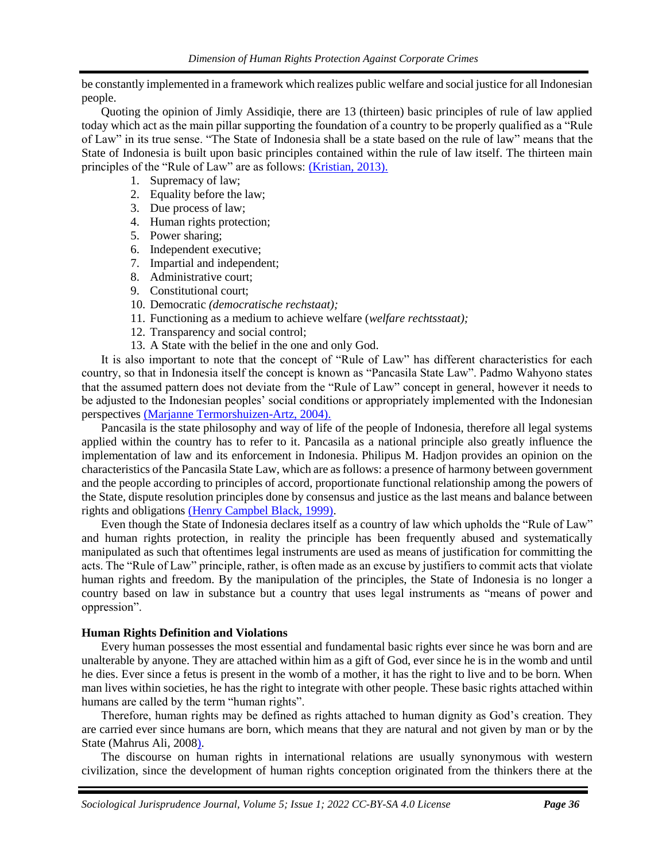be constantly implemented in a framework which realizes public welfare and social justice for all Indonesian people.

Quoting the opinion of Jimly Assidiqie, there are 13 (thirteen) basic principles of rule of law applied today which act as the main pillar supporting the foundation of a country to be properly qualified as a "Rule of Law" in its true sense. "The State of Indonesia shall be a state based on the rule of law" means that the State of Indonesia is built upon basic principles contained within the rule of law itself. The thirteen main principles of the "Rule of Law" are as follows: *(Kristian, 2013).* 

- 1. Supremacy of law;
- 2. Equality before the law;
- 3. Due process of law;
- 4. Human rights protection;
- 5. Power sharing;
- 6. Independent executive;
- 7. Impartial and independent;
- 8. Administrative court;
- 9 Constitutional court:
- 10. Democratic *(democratische rechstaat);*
- 11. Functioning as a medium to achieve welfare (*welfare rechtsstaat);*
- 12. Transparency and social control;
- 13. A State with the belief in the one and only God.

It is also important to note that the concept of "Rule of Law" has different characteristics for each country, so that in Indonesia itself the concept is known as "Pancasila State Law". Padmo Wahyono states that the assumed pattern does not deviate from the "Rule of Law" concept in general, however it needs to be adjusted to the Indonesian peoples' social conditions or appropriately implemented with the Indonesian perspectives [\(Marjanne Termorshuizen-Artz, 2004\).](#page-12-0)

Pancasila is the state philosophy and way of life of the people of Indonesia, therefore all legal systems applied within the country has to refer to it. Pancasila as a national principle also greatly influence the implementation of law and its enforcement in Indonesia. Philipus M. Hadjon provides an opinion on the characteristics of the Pancasila State Law, which are as follows: a presence of harmony between government and the people according to principles of accord, proportionate functional relationship among the powers of the State, dispute resolution principles done by consensus and justice as the last means and balance between rights and obligations [\(Henry Campbel Black, 1999\).](#page-12-0)

Even though the State of Indonesia declares itself as a country of law which upholds the "Rule of Law" and human rights protection, in reality the principle has been frequently abused and systematically manipulated as such that oftentimes legal instruments are used as means of justification for committing the acts. The "Rule of Law" principle, rather, is often made as an excuse by justifiers to commit acts that violate human rights and freedom. By the manipulation of the principles, the State of Indonesia is no longer a country based on law in substance but a country that uses legal instruments as "means of power and oppression".

## **Human Rights Definition and Violations**

Every human possesses the most essential and fundamental basic rights ever since he was born and are unalterable by anyone. They are attached within him as a gift of God, ever since he is in the womb and until he dies. Ever since a fetus is present in the womb of a mother, it has the right to live and to be born. When man lives within societies, he has the right to integrate with other people. These basic rights attached within humans are called by the term "human rights".

Therefore, human rights may be defined as rights attached to human dignity as God's creation. They are carried ever since humans are born, which means that they are natural and not given by man or by the State (Mahrus Ali, 200[8\).](#page-12-0)

The discourse on human rights in international relations are usually synonymous with western civilization, since the development of human rights conception originated from the thinkers there at the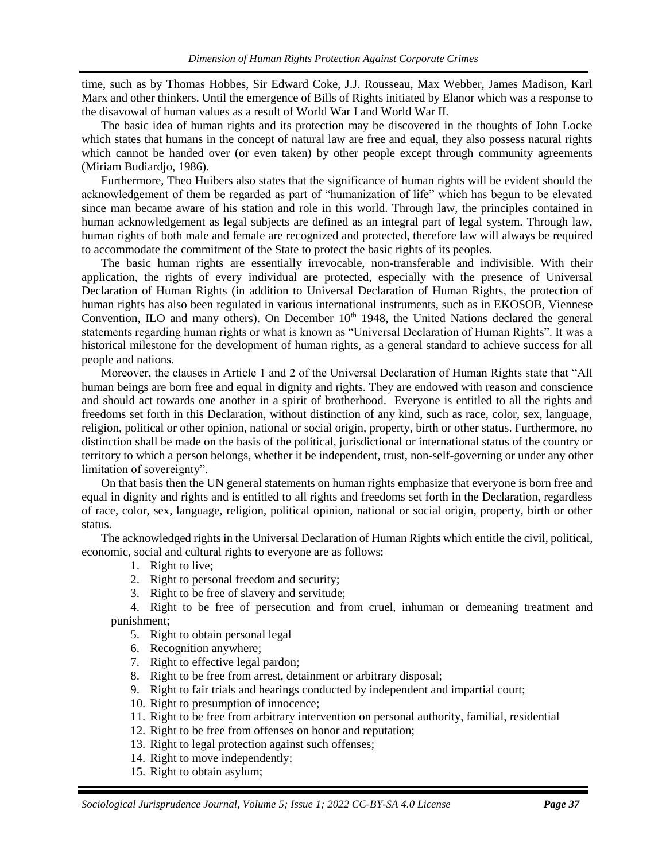time, such as by Thomas Hobbes, Sir Edward Coke, J.J. Rousseau, Max Webber, James Madison, Karl Marx and other thinkers. Until the emergence of Bills of Rights initiated by Elanor which was a response to the disavowal of human values as a result of World War I and World War II.

The basic idea of human rights and its protection may be discovered in the thoughts of John Locke which states that humans in the concept of natural law are free and equal, they also possess natural rights which cannot be handed over (or even taken) by other people except through community agreements (Miriam Budiardjo, 1986).

Furthermore, Theo Huibers also states that the significance of human rights will be evident should the acknowledgement of them be regarded as part of "humanization of life" which has begun to be elevated since man became aware of his station and role in this world. Through law, the principles contained in human acknowledgement as legal subjects are defined as an integral part of legal system. Through law, human rights of both male and female are recognized and protected, therefore law will always be required to accommodate the commitment of the State to protect the basic rights of its peoples.

The basic human rights are essentially irrevocable, non-transferable and indivisible. With their application, the rights of every individual are protected, especially with the presence of Universal Declaration of Human Rights (in addition to Universal Declaration of Human Rights*,* the protection of human rights has also been regulated in various international instruments, such as in EKOSOB, Viennese Convention, ILO and many others). On December  $10<sup>th</sup>$  1948, the United Nations declared the general statements regarding human rights or what is known as "Universal Declaration of Human Rights". It was a historical milestone for the development of human rights, as a general standard to achieve success for all people and nations.

Moreover, the clauses in Article 1 and 2 of the Universal Declaration of Human Rights state that "All human beings are born free and equal in dignity and rights. They are endowed with reason and conscience and should act towards one another in a spirit of brotherhood. Everyone is entitled to all the rights and freedoms set forth in this Declaration, without distinction of any kind, such as race, color, sex, language, religion, political or other opinion, national or social origin, property, birth or other status. Furthermore, no distinction shall be made on the basis of the political, jurisdictional or international status of the country or territory to which a person belongs, whether it be independent, trust, non-self-governing or under any other limitation of sovereignty".

On that basis then the UN general statements on human rights emphasize that everyone is born free and equal in dignity and rights and is entitled to all rights and freedoms set forth in the Declaration, regardless of race, color, sex, language, religion, political opinion, national or social origin, property, birth or other status.

The acknowledged rights in the Universal Declaration of Human Rights which entitle the civil, political, economic, social and cultural rights to everyone are as follows:

- 1. Right to live;
- 2. Right to personal freedom and security;
- 3. Right to be free of slavery and servitude;

4. Right to be free of persecution and from cruel, inhuman or demeaning treatment and punishment;

- 5. Right to obtain personal legal
- 6. Recognition anywhere;
- 7. Right to effective legal pardon;
- 8. Right to be free from arrest, detainment or arbitrary disposal;
- 9. Right to fair trials and hearings conducted by independent and impartial court;
- 10. Right to presumption of innocence;
- 11. Right to be free from arbitrary intervention on personal authority, familial, residential
- 12. Right to be free from offenses on honor and reputation;
- 13. Right to legal protection against such offenses;
- 14. Right to move independently;
- 15. Right to obtain asylum;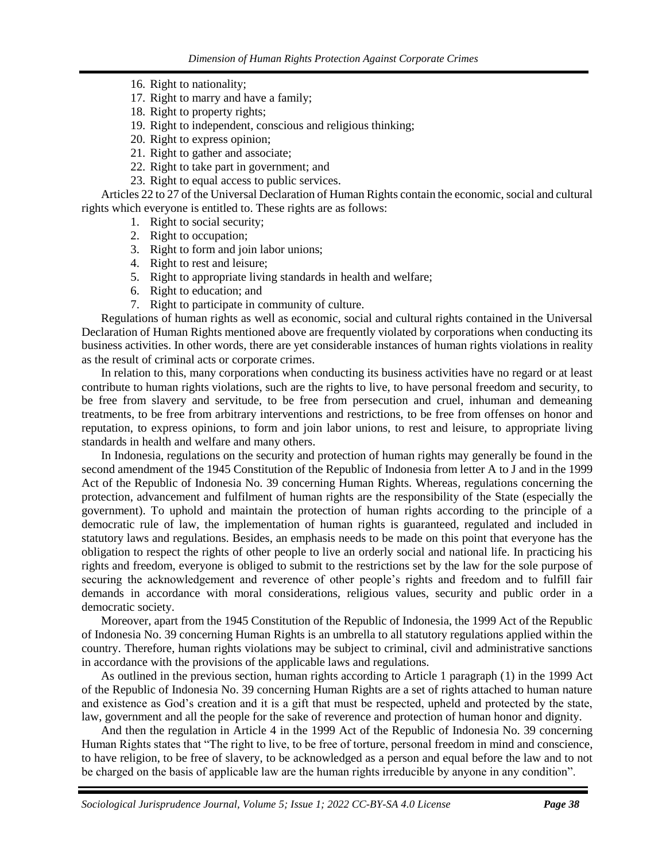- 16. Right to nationality;
- 17. Right to marry and have a family;
- 18. Right to property rights;
- 19. Right to independent, conscious and religious thinking;
- 20. Right to express opinion;
- 21. Right to gather and associate;
- 22. Right to take part in government; and
- 23. Right to equal access to public services.

Articles 22 to 27 of the Universal Declaration of Human Rights contain the economic, social and cultural rights which everyone is entitled to. These rights are as follows:

- 1. Right to social security;
- 2. Right to occupation;
- 3. Right to form and join labor unions;
- 4. Right to rest and leisure;
- 5. Right to appropriate living standards in health and welfare;
- 6. Right to education; and
- 7. Right to participate in community of culture.

Regulations of human rights as well as economic, social and cultural rights contained in the Universal Declaration of Human Rights mentioned above are frequently violated by corporations when conducting its business activities. In other words, there are yet considerable instances of human rights violations in reality as the result of criminal acts or corporate crimes.

In relation to this, many corporations when conducting its business activities have no regard or at least contribute to human rights violations, such are the rights to live, to have personal freedom and security, to be free from slavery and servitude, to be free from persecution and cruel, inhuman and demeaning treatments, to be free from arbitrary interventions and restrictions, to be free from offenses on honor and reputation, to express opinions, to form and join labor unions, to rest and leisure, to appropriate living standards in health and welfare and many others.

In Indonesia, regulations on the security and protection of human rights may generally be found in the second amendment of the 1945 Constitution of the Republic of Indonesia from letter A to J and in the 1999 Act of the Republic of Indonesia No. 39 concerning Human Rights. Whereas, regulations concerning the protection, advancement and fulfilment of human rights are the responsibility of the State (especially the government). To uphold and maintain the protection of human rights according to the principle of a democratic rule of law, the implementation of human rights is guaranteed, regulated and included in statutory laws and regulations. Besides, an emphasis needs to be made on this point that everyone has the obligation to respect the rights of other people to live an orderly social and national life. In practicing his rights and freedom, everyone is obliged to submit to the restrictions set by the law for the sole purpose of securing the acknowledgement and reverence of other people's rights and freedom and to fulfill fair demands in accordance with moral considerations, religious values, security and public order in a democratic society.

Moreover, apart from the 1945 Constitution of the Republic of Indonesia, the 1999 Act of the Republic of Indonesia No. 39 concerning Human Rights is an umbrella to all statutory regulations applied within the country. Therefore, human rights violations may be subject to criminal, civil and administrative sanctions in accordance with the provisions of the applicable laws and regulations.

As outlined in the previous section, human rights according to Article 1 paragraph (1) in the 1999 Act of the Republic of Indonesia No. 39 concerning Human Rights are a set of rights attached to human nature and existence as God's creation and it is a gift that must be respected, upheld and protected by the state, law, government and all the people for the sake of reverence and protection of human honor and dignity.

And then the regulation in Article 4 in the 1999 Act of the Republic of Indonesia No. 39 concerning Human Rights states that "The right to live, to be free of torture, personal freedom in mind and conscience, to have religion, to be free of slavery, to be acknowledged as a person and equal before the law and to not be charged on the basis of applicable law are the human rights irreducible by anyone in any condition".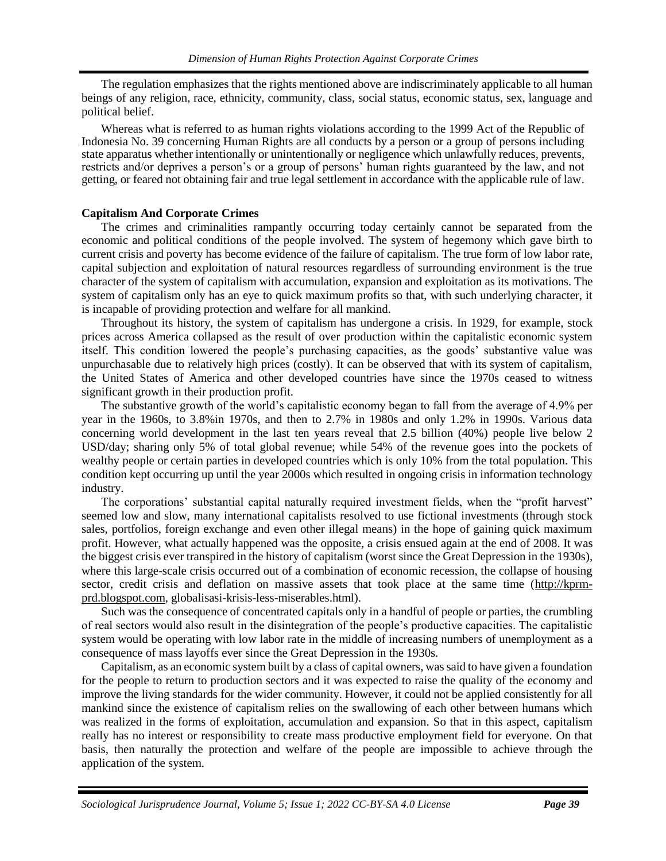The regulation emphasizes that the rights mentioned above are indiscriminately applicable to all human beings of any religion, race, ethnicity, community, class, social status, economic status, sex, language and political belief.

Whereas what is referred to as human rights violations according to the 1999 Act of the Republic of Indonesia No. 39 concerning Human Rights are all conducts by a person or a group of persons including state apparatus whether intentionally or unintentionally or negligence which unlawfully reduces, prevents, restricts and/or deprives a person's or a group of persons' human rights guaranteed by the law, and not getting, or feared not obtaining fair and true legal settlement in accordance with the applicable rule of law.

## **Capitalism And Corporate Crimes**

The crimes and criminalities rampantly occurring today certainly cannot be separated from the economic and political conditions of the people involved. The system of hegemony which gave birth to current crisis and poverty has become evidence of the failure of capitalism. The true form of low labor rate, capital subjection and exploitation of natural resources regardless of surrounding environment is the true character of the system of capitalism with accumulation, expansion and exploitation as its motivations. The system of capitalism only has an eye to quick maximum profits so that, with such underlying character, it is incapable of providing protection and welfare for all mankind.

Throughout its history, the system of capitalism has undergone a crisis. In 1929, for example, stock prices across America collapsed as the result of over production within the capitalistic economic system itself. This condition lowered the people's purchasing capacities, as the goods' substantive value was unpurchasable due to relatively high prices (costly). It can be observed that with its system of capitalism, the United States of America and other developed countries have since the 1970s ceased to witness significant growth in their production profit.

The substantive growth of the world's capitalistic economy began to fall from the average of 4.9% per year in the 1960s, to 3.8%in 1970s, and then to 2.7% in 1980s and only 1.2% in 1990s. Various data concerning world development in the last ten years reveal that 2.5 billion (40%) people live below 2 USD/day; sharing only 5% of total global revenue; while 54% of the revenue goes into the pockets of wealthy people or certain parties in developed countries which is only 10% from the total population. This condition kept occurring up until the year 2000s which resulted in ongoing crisis in information technology industry.

The corporations' substantial capital naturally required investment fields, when the "profit harvest" seemed low and slow, many international capitalists resolved to use fictional investments (through stock sales, portfolios, foreign exchange and even other illegal means) in the hope of gaining quick maximum profit. However, what actually happened was the opposite, a crisis ensued again at the end of 2008. It was the biggest crisis ever transpired in the history of capitalism (worst since the Great Depression in the 1930s), where this large-scale crisis occurred out of a combination of economic recession, the collapse of housing sector, credit crisis and deflation on massive assets that took place at the same time [\(http://kprm](http://kprm-prd.blogspot.com/)[prd.blogspot.com,](http://kprm-prd.blogspot.com/) globalisasi-krisis-less-miserables.html).

Such was the consequence of concentrated capitals only in a handful of people or parties, the crumbling of real sectors would also result in the disintegration of the people's productive capacities. The capitalistic system would be operating with low labor rate in the middle of increasing numbers of unemployment as a consequence of mass layoffs ever since the Great Depression in the 1930s.

Capitalism, as an economic system built by a class of capital owners, was said to have given a foundation for the people to return to production sectors and it was expected to raise the quality of the economy and improve the living standards for the wider community. However, it could not be applied consistently for all mankind since the existence of capitalism relies on the swallowing of each other between humans which was realized in the forms of exploitation, accumulation and expansion. So that in this aspect, capitalism really has no interest or responsibility to create mass productive employment field for everyone. On that basis, then naturally the protection and welfare of the people are impossible to achieve through the application of the system.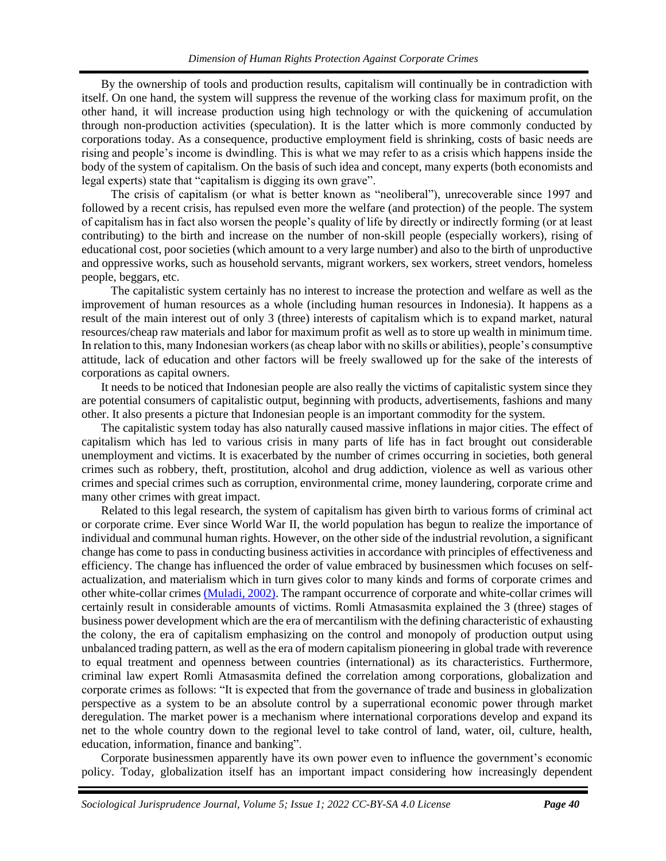By the ownership of tools and production results, capitalism will continually be in contradiction with itself. On one hand, the system will suppress the revenue of the working class for maximum profit, on the other hand, it will increase production using high technology or with the quickening of accumulation through non-production activities (speculation). It is the latter which is more commonly conducted by corporations today. As a consequence, productive employment field is shrinking, costs of basic needs are rising and people's income is dwindling. This is what we may refer to as a crisis which happens inside the body of the system of capitalism. On the basis of such idea and concept, many experts (both economists and legal experts) state that "capitalism is digging its own grave".

The crisis of capitalism (or what is better known as "neoliberal"), unrecoverable since 1997 and followed by a recent crisis, has repulsed even more the welfare (and protection) of the people. The system of capitalism has in fact also worsen the people's quality of life by directly or indirectly forming (or at least contributing) to the birth and increase on the number of non-skill people (especially workers), rising of educational cost, poor societies (which amount to a very large number) and also to the birth of unproductive and oppressive works, such as household servants, migrant workers, sex workers, street vendors, homeless people, beggars, etc.

The capitalistic system certainly has no interest to increase the protection and welfare as well as the improvement of human resources as a whole (including human resources in Indonesia). It happens as a result of the main interest out of only 3 (three) interests of capitalism which is to expand market, natural resources/cheap raw materials and labor for maximum profit as well as to store up wealth in minimum time. In relation to this, many Indonesian workers (as cheap labor with no skills or abilities), people's consumptive attitude, lack of education and other factors will be freely swallowed up for the sake of the interests of corporations as capital owners.

It needs to be noticed that Indonesian people are also really the victims of capitalistic system since they are potential consumers of capitalistic output, beginning with products, advertisements, fashions and many other. It also presents a picture that Indonesian people is an important commodity for the system.

The capitalistic system today has also naturally caused massive inflations in major cities. The effect of capitalism which has led to various crisis in many parts of life has in fact brought out considerable unemployment and victims. It is exacerbated by the number of crimes occurring in societies, both general crimes such as robbery, theft, prostitution, alcohol and drug addiction, violence as well as various other crimes and special crimes such as corruption, environmental crime, money laundering, corporate crime and many other crimes with great impact.

Related to this legal research, the system of capitalism has given birth to various forms of criminal act or corporate crime. Ever since World War II, the world population has begun to realize the importance of individual and communal human rights. However, on the other side of the industrial revolution, a significant change has come to pass in conducting business activities in accordance with principles of effectiveness and efficiency. The change has influenced the order of value embraced by businessmen which focuses on selfactualization, and materialism which in turn gives color to many kinds and forms of corporate crimes and other white-collar crimes [\(Muladi, 2002\).](#page-12-0) The rampant occurrence of corporate and white-collar crimes will certainly result in considerable amounts of victims. Romli Atmasasmita explained the 3 (three) stages of business power development which are the era of mercantilism with the defining characteristic of exhausting the colony, the era of capitalism emphasizing on the control and monopoly of production output using unbalanced trading pattern, as well as the era of modern capitalism pioneering in global trade with reverence to equal treatment and openness between countries (international) as its characteristics. Furthermore, criminal law expert Romli Atmasasmita defined the correlation among corporations, globalization and corporate crimes as follows: "It is expected that from the governance of trade and business in globalization perspective as a system to be an absolute control by a superrational economic power through market deregulation. The market power is a mechanism where international corporations develop and expand its net to the whole country down to the regional level to take control of land, water, oil, culture, health, education, information, finance and banking".

Corporate businessmen apparently have its own power even to influence the government's economic policy. Today, globalization itself has an important impact considering how increasingly dependent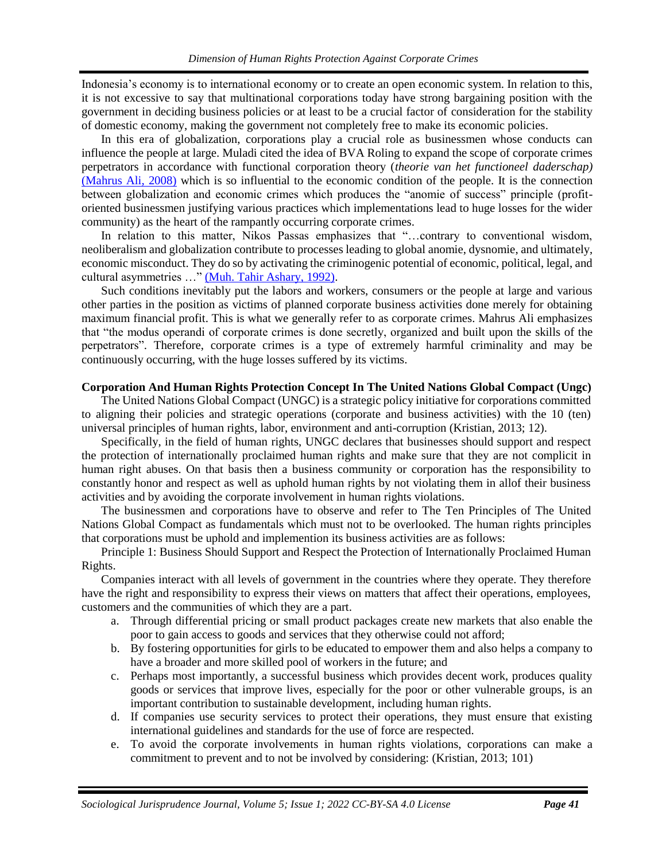Indonesia's economy is to international economy or to create an open economic system. In relation to this, it is not excessive to say that multinational corporations today have strong bargaining position with the government in deciding business policies or at least to be a crucial factor of consideration for the stability of domestic economy, making the government not completely free to make its economic policies.

In this era of globalization, corporations play a crucial role as businessmen whose conducts can influence the people at large. Muladi cited the idea of BVA Roling to expand the scope of corporate crimes perpetrators in accordance with functional corporation theory (*theorie van het functioneel daderschap)*  [\(Mahrus Ali, 2008\)](#page-12-0) which is so influential to the economic condition of the people. It is the connection between globalization and economic crimes which produces the "anomie of success" principle (profitoriented businessmen justifying various practices which implementations lead to huge losses for the wider community) as the heart of the rampantly occurring corporate crimes.

In relation to this matter, Nikos Passas emphasizes that "…contrary to conventional wisdom, neoliberalism and globalization contribute to processes leading to global anomie, dysnomie, and ultimately, economic misconduct. They do so by activating the criminogenic potential of economic, political, legal, and cultural asymmetries …" [\(Muh. Tahir Ashary, 1992\).](#page-12-0)

Such conditions inevitably put the labors and workers, consumers or the people at large and various other parties in the position as victims of planned corporate business activities done merely for obtaining maximum financial profit. This is what we generally refer to as corporate crimes. Mahrus Ali emphasizes that "the modus operandi of corporate crimes is done secretly, organized and built upon the skills of the perpetrators". Therefore, corporate crimes is a type of extremely harmful criminality and may be continuously occurring, with the huge losses suffered by its victims.

#### **Corporation And Human Rights Protection Concept In The United Nations Global Compact (Ungc)**

The United Nations Global Compact (UNGC) is a strategic policy initiative for corporations committed to aligning their policies and strategic operations (corporate and business activities) with the 10 (ten) universal principles of human rights, labor, environment and anti-corruption (Kristian, 2013; 12).

Specifically, in the field of human rights, UNGC declares that businesses should support and respect the protection of internationally proclaimed human rights and make sure that they are not complicit in human right abuses. On that basis then a business community or corporation has the responsibility to constantly honor and respect as well as uphold human rights by not violating them in allof their business activities and by avoiding the corporate involvement in human rights violations.

The businessmen and corporations have to observe and refer to The Ten Principles of The United Nations Global Compact as fundamentals which must not to be overlooked. The human rights principles that corporations must be uphold and implemention its business activities are as follows:

Principle 1: Business Should Support and Respect the Protection of Internationally Proclaimed Human Rights.

Companies interact with all levels of government in the countries where they operate. They therefore have the right and responsibility to express their views on matters that affect their operations, employees, customers and the communities of which they are a part.

- a. Through differential pricing or small product packages create new markets that also enable the poor to gain access to goods and services that they otherwise could not afford;
- b. By fostering opportunities for girls to be educated to empower them and also helps a company to have a broader and more skilled pool of workers in the future; and
- c. Perhaps most importantly, a successful business which provides decent work, produces quality goods or services that improve lives, especially for the poor or other vulnerable groups, is an important contribution to sustainable development, including human rights.
- d. If companies use security services to protect their operations, they must ensure that existing international guidelines and standards for the use of force are respected.
- e. To avoid the corporate involvements in human rights violations, corporations can make a commitment to prevent and to not be involved by considering: (Kristian, 2013; 101)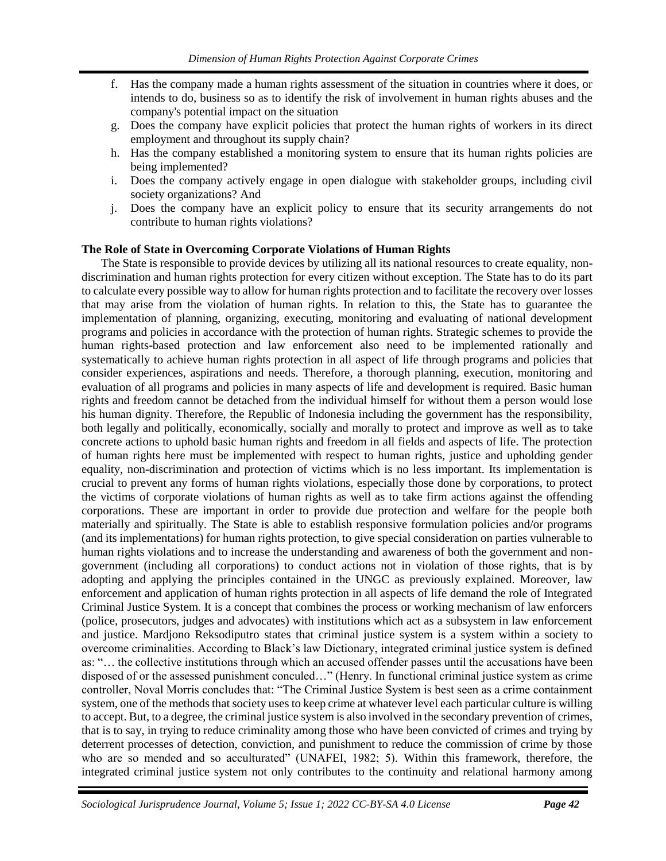- f. Has the company made a human rights assessment of the situation in countries where it does, or intends to do, business so as to identify the risk of involvement in human rights abuses and the company's potential impact on the situation
- g. Does the company have explicit policies that protect the human rights of workers in its direct employment and throughout its supply chain?
- h. Has the company established a monitoring system to ensure that its human rights policies are being implemented?
- i. Does the company actively engage in open dialogue with stakeholder groups, including civil society organizations? And
- j. Does the company have an explicit policy to ensure that its security arrangements do not contribute to human rights violations?

## **The Role of State in Overcoming Corporate Violations of Human Rights**

The State is responsible to provide devices by utilizing all its national resources to create equality, nondiscrimination and human rights protection for every citizen without exception. The State has to do its part to calculate every possible way to allow for human rights protection and to facilitate the recovery over losses that may arise from the violation of human rights. In relation to this, the State has to guarantee the implementation of planning, organizing, executing, monitoring and evaluating of national development programs and policies in accordance with the protection of human rights. Strategic schemes to provide the human rights-based protection and law enforcement also need to be implemented rationally and systematically to achieve human rights protection in all aspect of life through programs and policies that consider experiences, aspirations and needs. Therefore, a thorough planning, execution, monitoring and evaluation of all programs and policies in many aspects of life and development is required. Basic human rights and freedom cannot be detached from the individual himself for without them a person would lose his human dignity. Therefore, the Republic of Indonesia including the government has the responsibility, both legally and politically, economically, socially and morally to protect and improve as well as to take concrete actions to uphold basic human rights and freedom in all fields and aspects of life. The protection of human rights here must be implemented with respect to human rights, justice and upholding gender equality, non-discrimination and protection of victims which is no less important. Its implementation is crucial to prevent any forms of human rights violations, especially those done by corporations, to protect the victims of corporate violations of human rights as well as to take firm actions against the offending corporations. These are important in order to provide due protection and welfare for the people both materially and spiritually. The State is able to establish responsive formulation policies and/or programs (and its implementations) for human rights protection, to give special consideration on parties vulnerable to human rights violations and to increase the understanding and awareness of both the government and nongovernment (including all corporations) to conduct actions not in violation of those rights, that is by adopting and applying the principles contained in the UNGC as previously explained. Moreover, law enforcement and application of human rights protection in all aspects of life demand the role of Integrated Criminal Justice System. It is a concept that combines the process or working mechanism of law enforcers (police, prosecutors, judges and advocates) with institutions which act as a subsystem in law enforcement and justice. Mardjono Reksodiputro states that criminal justice system is a system within a society to overcome criminalities. According to Black's law Dictionary, integrated criminal justice system is defined as: "… the collective institutions through which an accused offender passes until the accusations have been disposed of or the assessed punishment conculed…" (Henry. In functional criminal justice system as crime controller, Noval Morris concludes that: "The Criminal Justice System is best seen as a crime containment system, one of the methods that society uses to keep crime at whatever level each particular culture is willing to accept. But, to a degree, the criminal justice system is also involved in the secondary prevention of crimes, that is to say, in trying to reduce criminality among those who have been convicted of crimes and trying by deterrent processes of detection, conviction, and punishment to reduce the commission of crime by those who are so mended and so acculturated" (UNAFEI, 1982; 5). Within this framework, therefore, the integrated criminal justice system not only contributes to the continuity and relational harmony among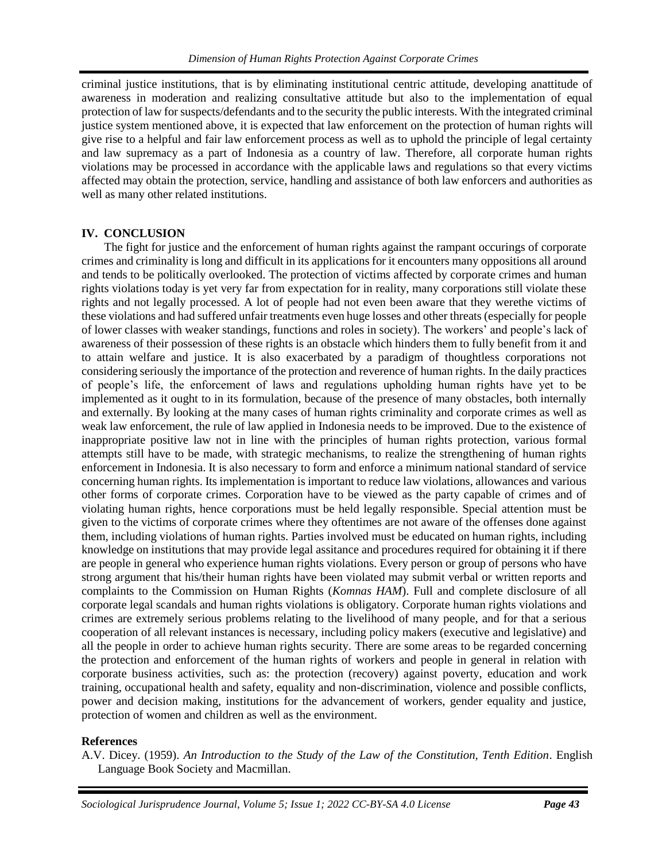criminal justice institutions, that is by eliminating institutional centric attitude, developing anattitude of awareness in moderation and realizing consultative attitude but also to the implementation of equal protection of law for suspects/defendants and to the security the public interests. With the integrated criminal justice system mentioned above, it is expected that law enforcement on the protection of human rights will give rise to a helpful and fair law enforcement process as well as to uphold the principle of legal certainty and law supremacy as a part of Indonesia as a country of law. Therefore, all corporate human rights violations may be processed in accordance with the applicable laws and regulations so that every victims affected may obtain the protection, service, handling and assistance of both law enforcers and authorities as well as many other related institutions.

## **IV. CONCLUSION**

The fight for justice and the enforcement of human rights against the rampant occurings of corporate crimes and criminality is long and difficult in its applications for it encounters many oppositions all around and tends to be politically overlooked. The protection of victims affected by corporate crimes and human rights violations today is yet very far from expectation for in reality, many corporations still violate these rights and not legally processed. A lot of people had not even been aware that they werethe victims of these violations and had suffered unfair treatments even huge losses and other threats (especially for people of lower classes with weaker standings, functions and roles in society). The workers' and people's lack of awareness of their possession of these rights is an obstacle which hinders them to fully benefit from it and to attain welfare and justice. It is also exacerbated by a paradigm of thoughtless corporations not considering seriously the importance of the protection and reverence of human rights. In the daily practices of people's life, the enforcement of laws and regulations upholding human rights have yet to be implemented as it ought to in its formulation, because of the presence of many obstacles, both internally and externally. By looking at the many cases of human rights criminality and corporate crimes as well as weak law enforcement, the rule of law applied in Indonesia needs to be improved. Due to the existence of inappropriate positive law not in line with the principles of human rights protection, various formal attempts still have to be made, with strategic mechanisms, to realize the strengthening of human rights enforcement in Indonesia. It is also necessary to form and enforce a minimum national standard of service concerning human rights. Its implementation is important to reduce law violations, allowances and various other forms of corporate crimes. Corporation have to be viewed as the party capable of crimes and of violating human rights, hence corporations must be held legally responsible. Special attention must be given to the victims of corporate crimes where they oftentimes are not aware of the offenses done against them, including violations of human rights. Parties involved must be educated on human rights, including knowledge on institutions that may provide legal assitance and procedures required for obtaining it if there are people in general who experience human rights violations. Every person or group of persons who have strong argument that his/their human rights have been violated may submit verbal or written reports and complaints to the Commission on Human Rights (*Komnas HAM*). Full and complete disclosure of all corporate legal scandals and human rights violations is obligatory. Corporate human rights violations and crimes are extremely serious problems relating to the livelihood of many people, and for that a serious cooperation of all relevant instances is necessary, including policy makers (executive and legislative) and all the people in order to achieve human rights security. There are some areas to be regarded concerning the protection and enforcement of the human rights of workers and people in general in relation with corporate business activities, such as: the protection (recovery) against poverty, education and work training, occupational health and safety, equality and non-discrimination, violence and possible conflicts, power and decision making, institutions for the advancement of workers, gender equality and justice, protection of women and children as well as the environment.

## **References**

A.V. Dicey. (1959). *An Introduction to the Study of the Law of the Constitution, Tenth Edition*. English Language Book Society and Macmillan.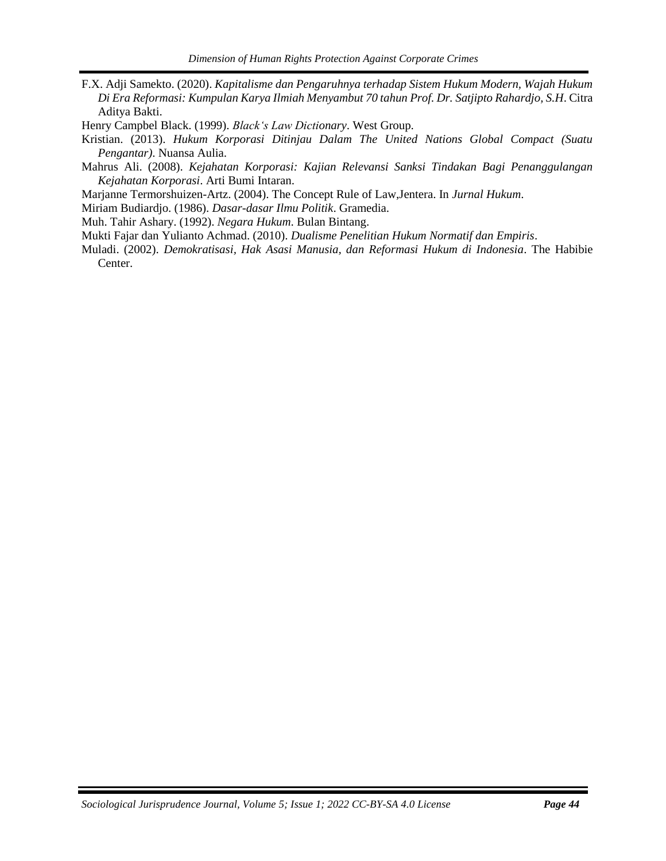F.X. Adji Samekto. (2020). *Kapitalisme dan Pengaruhnya terhadap Sistem Hukum Modern, Wajah Hukum Di Era Reformasi: Kumpulan Karya Ilmiah Menyambut 70 tahun Prof. Dr. Satjipto Rahardjo, S.H*. Citra Aditya Bakti.

Henry Campbel Black. (1999). *Black's Law Dictionary*. West Group.

Kristian. (2013). *Hukum Korporasi Ditinjau Dalam The United Nations Global Compact (Suatu Pengantar)*. Nuansa Aulia.

Mahrus Ali. (2008). *Kejahatan Korporasi: Kajian Relevansi Sanksi Tindakan Bagi Penanggulangan Kejahatan Korporasi*. Arti Bumi Intaran.

Marjanne Termorshuizen-Artz. (2004). The Concept Rule of Law,Jentera. In *Jurnal Hukum*.

Miriam Budiardjo. (1986). *Dasar-dasar Ilmu Politik*. Gramedia.

Muh. Tahir Ashary. (1992). *Negara Hukum*. Bulan Bintang.

Mukti Fajar dan Yulianto Achmad. (2010). *Dualisme Penelitian Hukum Normatif dan Empiris*.

<span id="page-12-0"></span>Muladi. (2002). *Demokratisasi, Hak Asasi Manusia, dan Reformasi Hukum di Indonesia*. The Habibie Center.